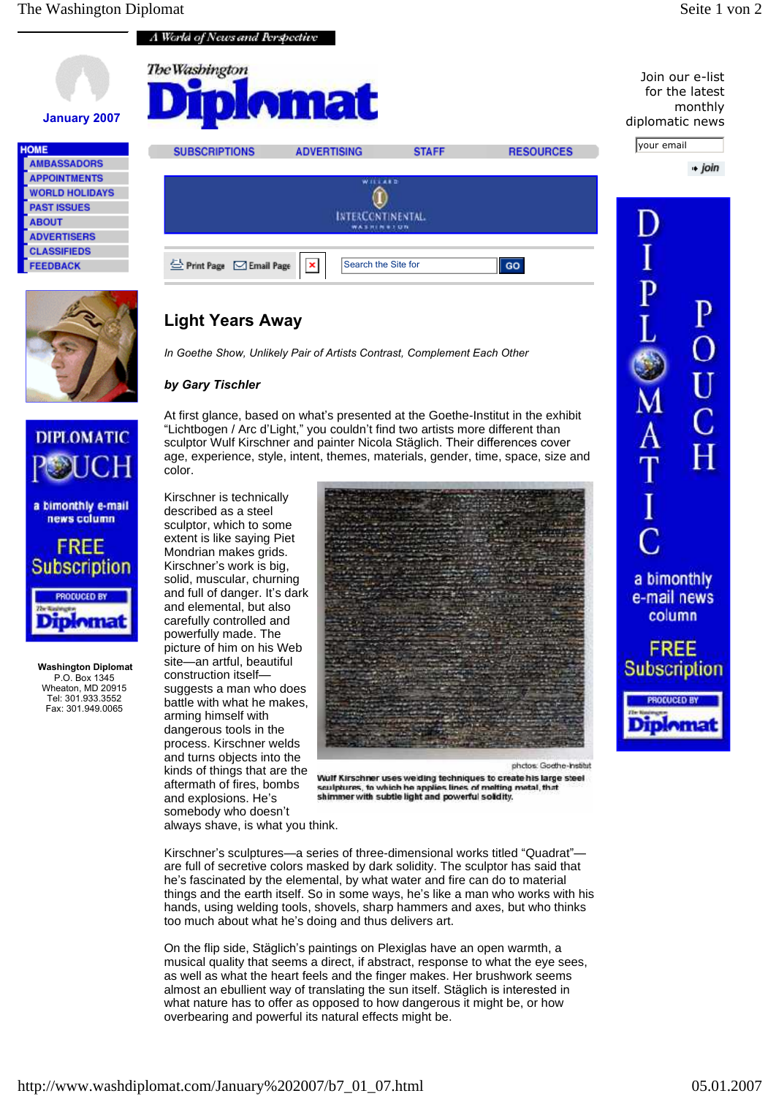

he's fascinated by the elemental, by what water and fire can do to material things and the earth itself. So in some ways, he's like a man who works with his hands, using welding tools, shovels, sharp hammers and axes, but who thinks too much about what he's doing and thus delivers art.

On the flip side, Stäglich's paintings on Plexiglas have an open warmth, a musical quality that seems a direct, if abstract, response to what the eye sees, as well as what the heart feels and the finger makes. Her brushwork seems almost an ebullient way of translating the sun itself. Stäglich is interested in what nature has to offer as opposed to how dangerous it might be, or how overbearing and powerful its natural effects might be.